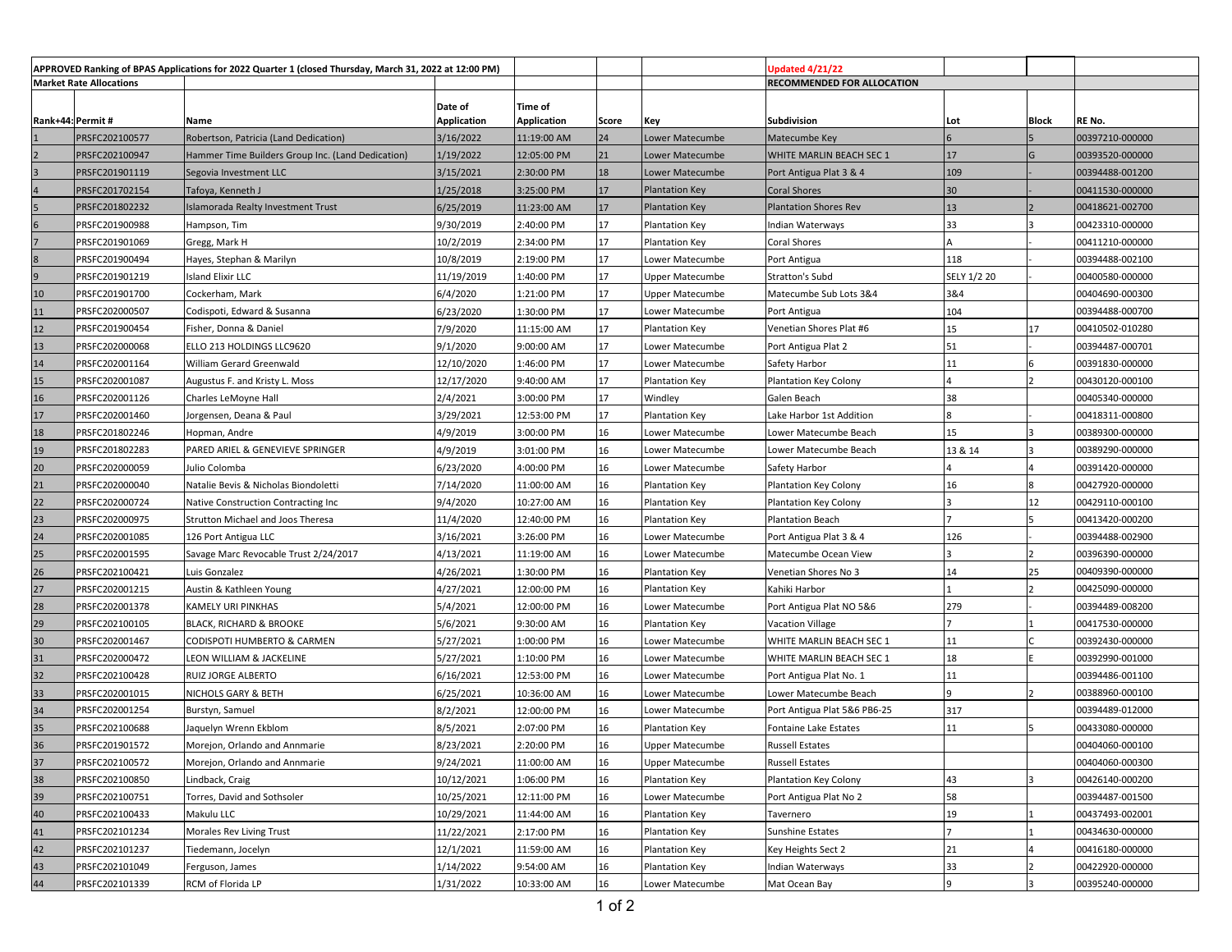| APPROVED Ranking of BPAS Applications for 2022 Quarter 1 (closed Thursday, March 31, 2022 at 12:00 PM) |                |                                                   |             |             |       |                            | <b>Jpdated 4/21/22</b>       |             |       |                 |
|--------------------------------------------------------------------------------------------------------|----------------|---------------------------------------------------|-------------|-------------|-------|----------------------------|------------------------------|-------------|-------|-----------------|
| <b>Market Rate Allocations</b>                                                                         |                |                                                   |             |             |       | RECOMMENDED FOR ALLOCATION |                              |             |       |                 |
|                                                                                                        |                |                                                   | Date of     | Time of     |       |                            |                              |             |       |                 |
| Rank+44: Permit#                                                                                       |                | Name                                              | Application | Application | Score | Key                        | Subdivision                  | Lot         | Block | RE No.          |
|                                                                                                        | PRSFC202100577 | Robertson, Patricia (Land Dedication)             | 3/16/2022   | 11:19:00 AM | 24    | Lower Matecumbe            | Matecumbe Key                |             |       | 00397210-000000 |
|                                                                                                        | PRSFC202100947 | Hammer Time Builders Group Inc. (Land Dedication) | 1/19/2022   | 12:05:00 PM | 21    | Lower Matecumbe            | WHITE MARLIN BEACH SEC 1     | 17          | G     | 00393520-000000 |
|                                                                                                        | PRSFC201901119 | Segovia Investment LLC                            | 3/15/2021   | 2:30:00 PM  | 18    | Lower Matecumbe            | Port Antigua Plat 3 & 4      | 109         |       | 00394488-001200 |
|                                                                                                        | PRSFC201702154 | Tafoya, Kenneth J                                 | 1/25/2018   | 3:25:00 PM  | 17    | Plantation Key             | <b>Coral Shores</b>          | 30          |       | 00411530-000000 |
|                                                                                                        | PRSFC201802232 | Islamorada Realty Investment Trust                | 6/25/2019   | 11:23:00 AM | 17    | Plantation Key             | <b>Plantation Shores Rev</b> | 13          |       | 00418621-002700 |
|                                                                                                        | PRSFC201900988 | Hampson, Tim                                      | 9/30/2019   | 2:40:00 PM  | 17    | Plantation Key             | Indian Waterways             | 33          |       | 00423310-000000 |
|                                                                                                        | PRSFC201901069 | Gregg, Mark H                                     | 10/2/2019   | 2:34:00 PM  | 17    | <b>Plantation Key</b>      | Coral Shores                 |             |       | 00411210-000000 |
|                                                                                                        | PRSFC201900494 | Hayes, Stephan & Marilyn                          | 10/8/2019   | 2:19:00 PM  | 17    | Lower Matecumbe            | Port Antigua                 | 118         |       | 00394488-002100 |
|                                                                                                        | PRSFC201901219 | <b>Island Elixir LLC</b>                          | 11/19/2019  | 1:40:00 PM  | 17    | Upper Matecumbe            | Stratton's Subd              | SELY 1/2 20 |       | 00400580-000000 |
| 10                                                                                                     | PRSFC201901700 | Cockerham, Mark                                   | 6/4/2020    | 1:21:00 PM  | 17    | Upper Matecumbe            | Matecumbe Sub Lots 3&4       | 3&4         |       | 00404690-000300 |
| 11                                                                                                     | PRSFC202000507 | Codispoti, Edward & Susanna                       | 6/23/2020   | 1:30:00 PM  | 17    | Lower Matecumbe            | Port Antigua                 | 104         |       | 00394488-000700 |
| 12                                                                                                     | PRSFC201900454 | Fisher, Donna & Daniel                            | 7/9/2020    | 11:15:00 AM | 17    | <b>Plantation Key</b>      | Venetian Shores Plat #6      | 15          | 17    | 00410502-010280 |
| 13                                                                                                     | PRSFC202000068 | ELLO 213 HOLDINGS LLC9620                         | 9/1/2020    | 9:00:00 AM  | 17    | Lower Matecumbe            | Port Antigua Plat 2          | 51          |       | 00394487-000701 |
| 14                                                                                                     | PRSFC202001164 | William Gerard Greenwald                          | 12/10/2020  | l:46:00 PM  | 17    | Lower Matecumbe            | Safety Harbor                | 11          |       | 00391830-000000 |
| 15                                                                                                     | PRSFC202001087 | Augustus F. and Kristy L. Moss                    | 12/17/2020  | 9:40:00 AM  | 17    | <b>Plantation Key</b>      | Plantation Key Colony        |             |       | 00430120-000100 |
| 16                                                                                                     | PRSFC202001126 | Charles LeMoyne Hall                              | 2/4/2021    | 3:00:00 PM  | 17    | Windley                    | Galen Beach                  | 38          |       | 00405340-000000 |
| 17                                                                                                     | PRSFC202001460 | Jorgensen, Deana & Paul                           | 3/29/2021   | 12:53:00 PM | 17    | <b>Plantation Key</b>      | Lake Harbor 1st Addition     |             |       | 00418311-000800 |
| 18                                                                                                     | PRSFC201802246 | Hopman, Andre                                     | 4/9/2019    | 3:00:00 PM  | 16    | Lower Matecumbe            | Lower Matecumbe Beach        | 15          |       | 00389300-000000 |
| 19                                                                                                     | PRSFC201802283 | PARED ARIEL & GENEVIEVE SPRINGER                  | 4/9/2019    | 3:01:00 PM  | 16    | Lower Matecumbe            | Lower Matecumbe Beach        | 13 & 14     |       | 00389290-000000 |
| 20                                                                                                     | PRSFC202000059 | Julio Colomba                                     | 6/23/2020   | 4:00:00 PM  | 16    | Lower Matecumbe            | Safety Harbor                |             |       | 00391420-000000 |
| 21                                                                                                     | PRSFC202000040 | Natalie Bevis & Nicholas Biondoletti              | 7/14/2020   | 11:00:00 AM | 16    | Plantation Key             | Plantation Key Colony        | 16          |       | 00427920-000000 |
| 22                                                                                                     | PRSFC202000724 | Native Construction Contracting Inc               | 9/4/2020    | 10:27:00 AM | 16    | Plantation Key             | Plantation Key Colony        |             | 12    | 00429110-000100 |
| 23                                                                                                     | PRSFC202000975 | Strutton Michael and Joos Theresa                 | 11/4/2020   | 12:40:00 PM | 16    | <b>Plantation Key</b>      | <b>Plantation Beach</b>      |             |       | 00413420-000200 |
| 24                                                                                                     | PRSFC202001085 | 126 Port Antigua LLC                              | 3/16/2021   | 3:26:00 PM  | 16    | Lower Matecumbe            | Port Antigua Plat 3 & 4      | 126         |       | 00394488-002900 |
| 25                                                                                                     | PRSFC202001595 | Savage Marc Revocable Trust 2/24/2017             | 4/13/2021   | 11:19:00 AM | 16    | Lower Matecumbe            | Matecumbe Ocean View         |             |       | 00396390-000000 |
| 26                                                                                                     | PRSFC202100421 | Luis Gonzalez                                     | 4/26/2021   | 1:30:00 PM  | 16    | <b>Plantation Key</b>      | Venetian Shores No 3         | 14          | 25    | 00409390-000000 |
| 27                                                                                                     | PRSFC202001215 | Austin & Kathleen Young                           | 4/27/2021   | 12:00:00 PM | 16    | <b>Plantation Key</b>      | Kahiki Harbor                |             |       | 00425090-000000 |
| 28                                                                                                     | PRSFC202001378 | KAMELY URI PINKHAS                                | 5/4/2021    | 12:00:00 PM | 16    | Lower Matecumbe            | Port Antigua Plat NO 5&6     | 279         |       | 00394489-008200 |
| 29                                                                                                     | PRSFC202100105 | BLACK, RICHARD & BROOKE                           | 5/6/2021    | 9:30:00 AM  | 16    | Plantation Key             | Vacation Village             |             |       | 00417530-000000 |
| 30                                                                                                     | PRSFC202001467 | CODISPOTI HUMBERTO & CARMEN                       | 5/27/2021   | 1:00:00 PM  | 16    | Lower Matecumbe            | WHITE MARLIN BEACH SEC 1     | 11          |       | 00392430-000000 |
| 31                                                                                                     | PRSFC202000472 | LEON WILLIAM & JACKELINE                          | 5/27/2021   | 1:10:00 PM  | 16    | Lower Matecumbe            | WHITE MARLIN BEACH SEC 1     | 18          |       | 00392990-001000 |
| 32                                                                                                     | PRSFC202100428 | RUIZ JORGE ALBERTO                                | 6/16/2021   | 12:53:00 PM | 16    | Lower Matecumbe            | Port Antigua Plat No. 1      | 11          |       | 00394486-001100 |
| 33                                                                                                     | PRSFC202001015 | NICHOLS GARY & BETH                               | 6/25/2021   | 10:36:00 AM | 16    | Lower Matecumbe            | Lower Matecumbe Beach        | q           |       | 00388960-000100 |
| 34                                                                                                     | PRSFC202001254 | Burstyn, Samuel                                   | 8/2/2021    | 12:00:00 PM | 16    | Lower Matecumbe            | Port Antigua Plat 5&6 PB6-25 | 317         |       | 00394489-012000 |
| 35                                                                                                     | PRSFC202100688 | Jaquelyn Wrenn Ekblom                             | 8/5/2021    | 2:07:00 PM  | 16    | Plantation Key             | Fontaine Lake Estates        | 11          |       | 00433080-000000 |
| 36                                                                                                     | PRSFC201901572 | Morejon, Orlando and Annmarie                     | 8/23/2021   | 2:20:00 PM  | 16    | Upper Matecumbe            | <b>Russell Estates</b>       |             |       | 00404060-000100 |
| 37                                                                                                     | PRSFC202100572 | Morejon, Orlando and Annmarie                     | 9/24/2021   | 11:00:00 AM | 16    | <b>Upper Matecumbe</b>     | <b>Russell Estates</b>       |             |       | 00404060-000300 |
| 38                                                                                                     | PRSFC202100850 | Lindback, Craig                                   | 10/12/2021  | 1:06:00 PM  | 16    | Plantation Key             | Plantation Key Colony        | 43          |       | 00426140-000200 |
| 39                                                                                                     | PRSFC202100751 | Torres, David and Sothsoler                       | 10/25/2021  | 12:11:00 PM | 16    | Lower Matecumbe            | Port Antigua Plat No 2       | 58          |       | 00394487-001500 |
| 40                                                                                                     | PRSFC202100433 | Makulu LLC                                        | 10/29/2021  | 11:44:00 AM | 16    | <b>Plantation Key</b>      | Tavernero                    | 19          |       | 00437493-002001 |
| 41                                                                                                     | PRSFC202101234 | Morales Rev Living Trust                          | 11/22/2021  | 2:17:00 PM  | 16    | Plantation Key             | Sunshine Estates             |             |       | 00434630-000000 |
| 42                                                                                                     | PRSFC202101237 | Tiedemann, Jocelyn                                | 12/1/2021   | 11:59:00 AM | 16    | Plantation Key             | Key Heights Sect 2           | 21          |       | 00416180-000000 |
| 43                                                                                                     | PRSFC202101049 | Ferguson, James                                   | 1/14/2022   | 9:54:00 AM  | 16    | Plantation Key             | Indian Waterways             | 33          |       | 00422920-000000 |
| 44                                                                                                     | PRSFC202101339 | RCM of Florida LP                                 | 1/31/2022   | 10:33:00 AM | 16    | Lower Matecumbe            | Mat Ocean Bay                |             |       | 00395240-000000 |